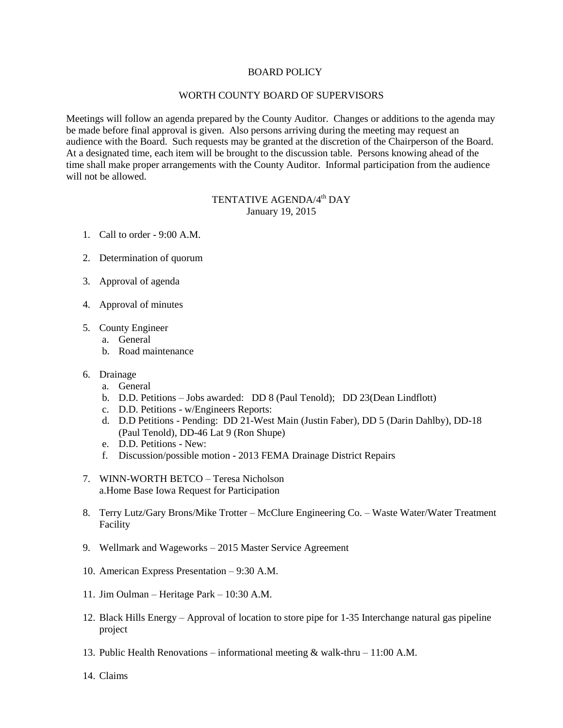## BOARD POLICY

## WORTH COUNTY BOARD OF SUPERVISORS

Meetings will follow an agenda prepared by the County Auditor. Changes or additions to the agenda may be made before final approval is given. Also persons arriving during the meeting may request an audience with the Board. Such requests may be granted at the discretion of the Chairperson of the Board. At a designated time, each item will be brought to the discussion table. Persons knowing ahead of the time shall make proper arrangements with the County Auditor. Informal participation from the audience will not be allowed.

## TENTATIVE AGENDA/4<sup>th</sup> DAY January 19, 2015

- 1. Call to order 9:00 A.M.
- 2. Determination of quorum
- 3. Approval of agenda
- 4. Approval of minutes
- 5. County Engineer
	- a. General
	- b. Road maintenance
- 6. Drainage
	- a. General
	- b. D.D. Petitions Jobs awarded: DD 8 (Paul Tenold); DD 23(Dean Lindflott)
	- c. D.D. Petitions w/Engineers Reports:
	- d. D.D Petitions Pending: DD 21-West Main (Justin Faber), DD 5 (Darin Dahlby), DD-18 (Paul Tenold), DD-46 Lat 9 (Ron Shupe)
	- e. D.D. Petitions New:
	- f. Discussion/possible motion 2013 FEMA Drainage District Repairs
- 7. WINN-WORTH BETCO Teresa Nicholson a.Home Base Iowa Request for Participation
- 8. Terry Lutz/Gary Brons/Mike Trotter McClure Engineering Co. Waste Water/Water Treatment Facility
- 9. Wellmark and Wageworks 2015 Master Service Agreement
- 10. American Express Presentation 9:30 A.M.
- 11. Jim Oulman Heritage Park 10:30 A.M.
- 12. Black Hills Energy Approval of location to store pipe for 1-35 Interchange natural gas pipeline project
- 13. Public Health Renovations informational meeting & walk-thru 11:00 A.M.
- 14. Claims